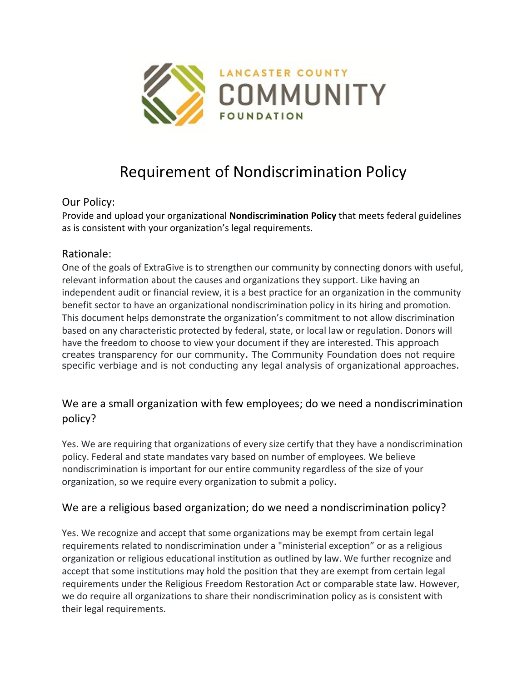

# Requirement of Nondiscrimination Policy

## Our Policy:

Provide and upload your organizational **Nondiscrimination Policy** that meets federal guidelines as is consistent with your organization's legal requirements.

## Rationale:

One of the goals of ExtraGive is to strengthen our community by connecting donors with useful, relevant information about the causes and organizations they support. Like having an independent audit or financial review, it is a best practice for an organization in the community benefit sector to have an organizational nondiscrimination policy in its hiring and promotion. This document helps demonstrate the organization's commitment to not allow discrimination based on any characteristic protected by federal, state, or local law or regulation. Donors will have the freedom to choose to view your document if they are interested. This approach creates transparency for our community. The Community Foundation does not require specific verbiage and is not conducting any legal analysis of organizational approaches.

## We are a small organization with few employees; do we need a nondiscrimination policy?

Yes. We are requiring that organizations of every size certify that they have a nondiscrimination policy. Federal and state mandates vary based on number of employees. We believe nondiscrimination is important for our entire community regardless of the size of your organization, so we require every organization to submit a policy.

## We are a religious based organization; do we need a nondiscrimination policy?

Yes. We recognize and accept that some organizations may be exempt from certain legal requirements related to nondiscrimination under a "ministerial exception" or as a religious organization or religious educational institution as outlined by law. We further recognize and accept that some institutions may hold the position that they are exempt from certain legal requirements under the Religious Freedom Restoration Act or comparable state law. However, we do require all organizations to share their nondiscrimination policy as is consistent with their legal requirements.